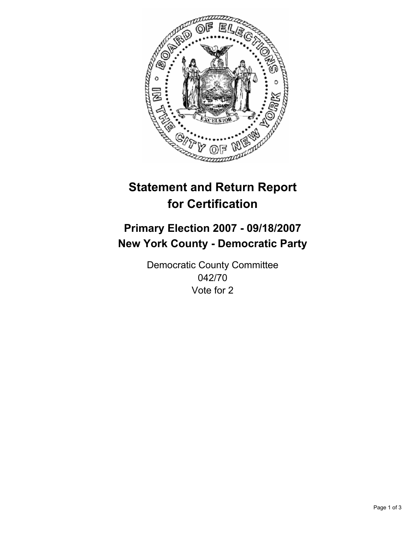

# **Statement and Return Report for Certification**

## **Primary Election 2007 - 09/18/2007 New York County - Democratic Party**

Democratic County Committee 042/70 Vote for 2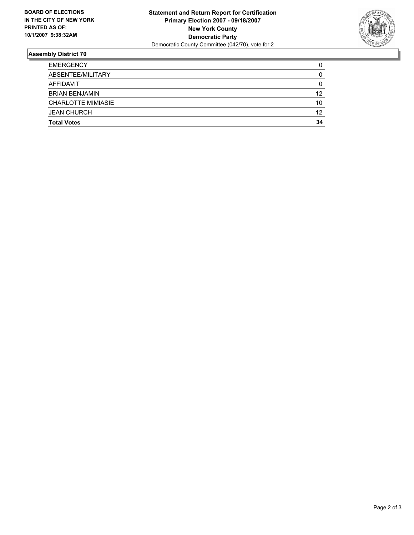

### **Assembly District 70**

| <b>Total Votes</b>        | 34 |
|---------------------------|----|
| <b>JEAN CHURCH</b>        | 12 |
| <b>CHARLOTTE MIMIASIE</b> | 10 |
| <b>BRIAN BENJAMIN</b>     | 12 |
| AFFIDAVIT                 | C  |
| ABSENTEE/MILITARY         | U  |
| <b>EMERGENCY</b>          |    |